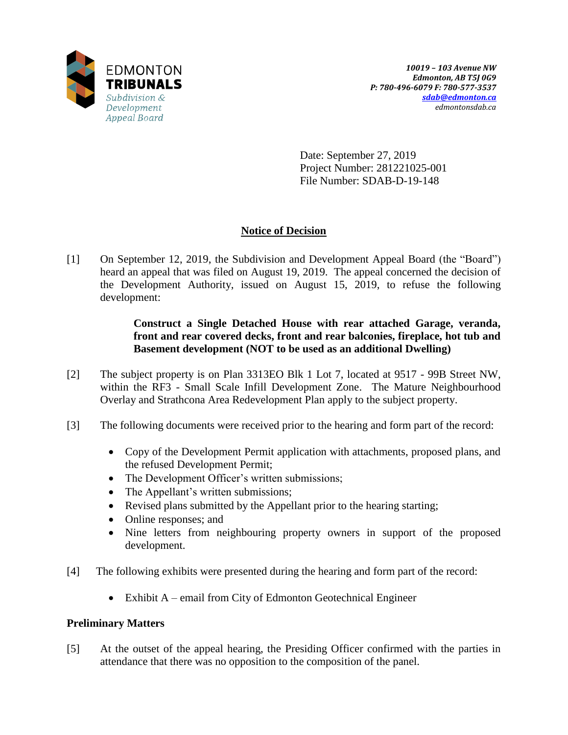

Date: September 27, 2019 Project Number: 281221025-001 File Number: SDAB-D-19-148

# **Notice of Decision**

[1] On September 12, 2019, the Subdivision and Development Appeal Board (the "Board") heard an appeal that was filed on August 19, 2019. The appeal concerned the decision of the Development Authority, issued on August 15, 2019, to refuse the following development:

> **Construct a Single Detached House with rear attached Garage, veranda, front and rear covered decks, front and rear balconies, fireplace, hot tub and Basement development (NOT to be used as an additional Dwelling)**

- [2] The subject property is on Plan 3313EO Blk 1 Lot 7, located at 9517 99B Street NW, within the RF3 - Small Scale Infill Development Zone. The Mature Neighbourhood Overlay and Strathcona Area Redevelopment Plan apply to the subject property.
- [3] The following documents were received prior to the hearing and form part of the record:
	- Copy of the Development Permit application with attachments, proposed plans, and the refused Development Permit;
	- The Development Officer's written submissions;
	- The Appellant's written submissions;
	- Revised plans submitted by the Appellant prior to the hearing starting;
	- Online responses; and
	- Nine letters from neighbouring property owners in support of the proposed development.
- [4] The following exhibits were presented during the hearing and form part of the record:
	- Exhibit A email from City of Edmonton Geotechnical Engineer

# **Preliminary Matters**

[5] At the outset of the appeal hearing, the Presiding Officer confirmed with the parties in attendance that there was no opposition to the composition of the panel.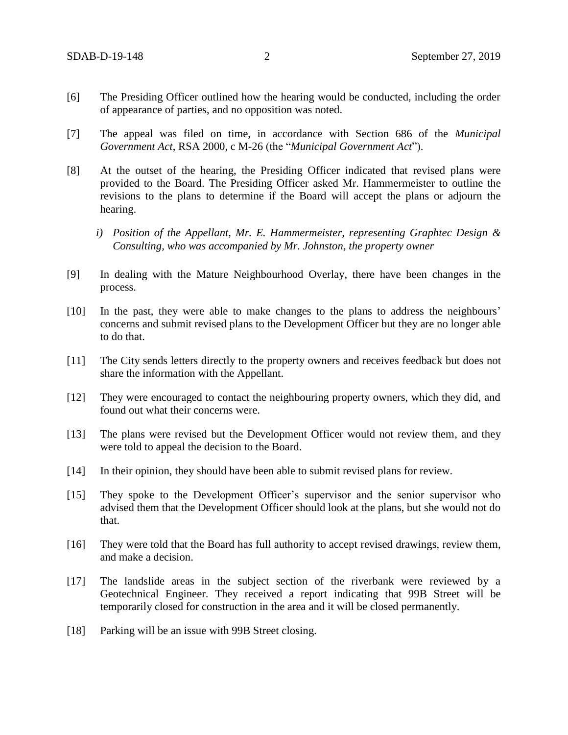- [6] The Presiding Officer outlined how the hearing would be conducted, including the order of appearance of parties, and no opposition was noted.
- [7] The appeal was filed on time, in accordance with Section 686 of the *Municipal Government Act*, RSA 2000, c M-26 (the "*Municipal Government Act*").
- [8] At the outset of the hearing, the Presiding Officer indicated that revised plans were provided to the Board. The Presiding Officer asked Mr. Hammermeister to outline the revisions to the plans to determine if the Board will accept the plans or adjourn the hearing.
	- *i) Position of the Appellant, Mr. E. Hammermeister, representing Graphtec Design & Consulting, who was accompanied by Mr. Johnston, the property owner*
- [9] In dealing with the Mature Neighbourhood Overlay, there have been changes in the process.
- [10] In the past, they were able to make changes to the plans to address the neighbours' concerns and submit revised plans to the Development Officer but they are no longer able to do that.
- [11] The City sends letters directly to the property owners and receives feedback but does not share the information with the Appellant.
- [12] They were encouraged to contact the neighbouring property owners, which they did, and found out what their concerns were.
- [13] The plans were revised but the Development Officer would not review them, and they were told to appeal the decision to the Board.
- [14] In their opinion, they should have been able to submit revised plans for review.
- [15] They spoke to the Development Officer's supervisor and the senior supervisor who advised them that the Development Officer should look at the plans, but she would not do that.
- [16] They were told that the Board has full authority to accept revised drawings, review them, and make a decision.
- [17] The landslide areas in the subject section of the riverbank were reviewed by a Geotechnical Engineer. They received a report indicating that 99B Street will be temporarily closed for construction in the area and it will be closed permanently.
- [18] Parking will be an issue with 99B Street closing.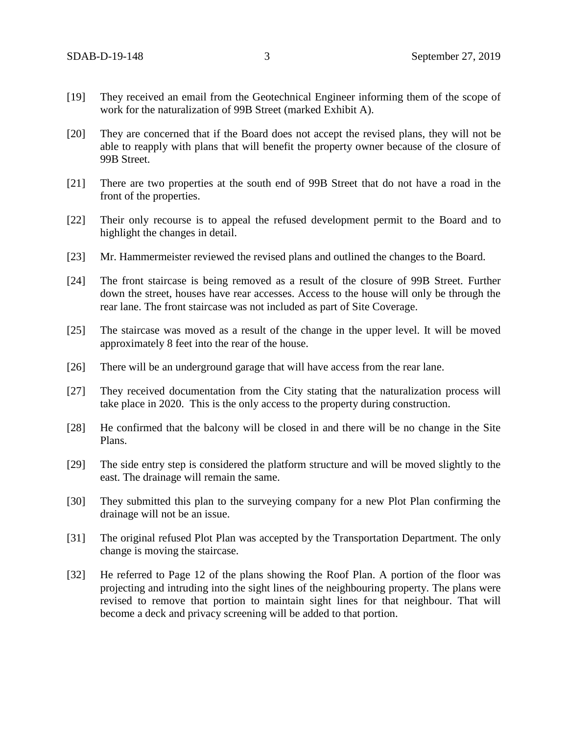- [19] They received an email from the Geotechnical Engineer informing them of the scope of work for the naturalization of 99B Street (marked Exhibit A).
- [20] They are concerned that if the Board does not accept the revised plans, they will not be able to reapply with plans that will benefit the property owner because of the closure of 99B Street.
- [21] There are two properties at the south end of 99B Street that do not have a road in the front of the properties.
- [22] Their only recourse is to appeal the refused development permit to the Board and to highlight the changes in detail.
- [23] Mr. Hammermeister reviewed the revised plans and outlined the changes to the Board.
- [24] The front staircase is being removed as a result of the closure of 99B Street. Further down the street, houses have rear accesses. Access to the house will only be through the rear lane. The front staircase was not included as part of Site Coverage.
- [25] The staircase was moved as a result of the change in the upper level. It will be moved approximately 8 feet into the rear of the house.
- [26] There will be an underground garage that will have access from the rear lane.
- [27] They received documentation from the City stating that the naturalization process will take place in 2020. This is the only access to the property during construction.
- [28] He confirmed that the balcony will be closed in and there will be no change in the Site Plans.
- [29] The side entry step is considered the platform structure and will be moved slightly to the east. The drainage will remain the same.
- [30] They submitted this plan to the surveying company for a new Plot Plan confirming the drainage will not be an issue.
- [31] The original refused Plot Plan was accepted by the Transportation Department. The only change is moving the staircase.
- [32] He referred to Page 12 of the plans showing the Roof Plan. A portion of the floor was projecting and intruding into the sight lines of the neighbouring property. The plans were revised to remove that portion to maintain sight lines for that neighbour. That will become a deck and privacy screening will be added to that portion.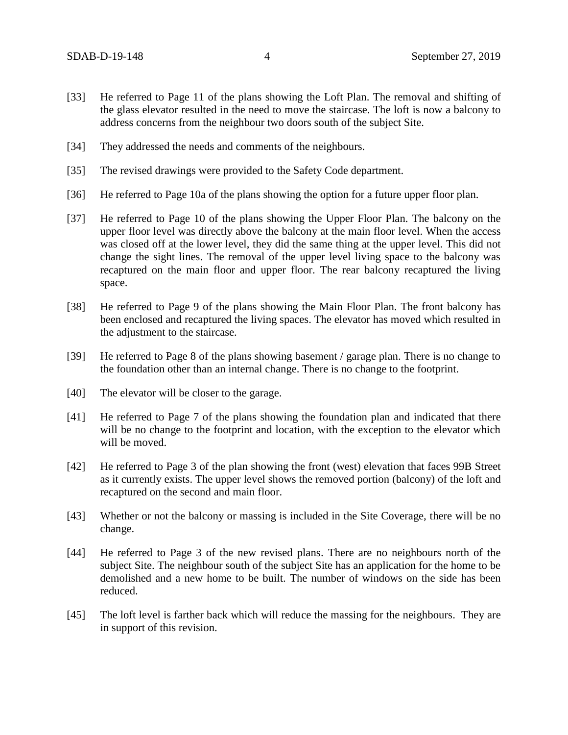- [33] He referred to Page 11 of the plans showing the Loft Plan. The removal and shifting of the glass elevator resulted in the need to move the staircase. The loft is now a balcony to address concerns from the neighbour two doors south of the subject Site.
- [34] They addressed the needs and comments of the neighbours.
- [35] The revised drawings were provided to the Safety Code department.
- [36] He referred to Page 10a of the plans showing the option for a future upper floor plan.
- [37] He referred to Page 10 of the plans showing the Upper Floor Plan. The balcony on the upper floor level was directly above the balcony at the main floor level. When the access was closed off at the lower level, they did the same thing at the upper level. This did not change the sight lines. The removal of the upper level living space to the balcony was recaptured on the main floor and upper floor. The rear balcony recaptured the living space.
- [38] He referred to Page 9 of the plans showing the Main Floor Plan. The front balcony has been enclosed and recaptured the living spaces. The elevator has moved which resulted in the adjustment to the staircase.
- [39] He referred to Page 8 of the plans showing basement / garage plan. There is no change to the foundation other than an internal change. There is no change to the footprint.
- [40] The elevator will be closer to the garage.
- [41] He referred to Page 7 of the plans showing the foundation plan and indicated that there will be no change to the footprint and location, with the exception to the elevator which will be moved.
- [42] He referred to Page 3 of the plan showing the front (west) elevation that faces 99B Street as it currently exists. The upper level shows the removed portion (balcony) of the loft and recaptured on the second and main floor.
- [43] Whether or not the balcony or massing is included in the Site Coverage, there will be no change.
- [44] He referred to Page 3 of the new revised plans. There are no neighbours north of the subject Site. The neighbour south of the subject Site has an application for the home to be demolished and a new home to be built. The number of windows on the side has been reduced.
- [45] The loft level is farther back which will reduce the massing for the neighbours. They are in support of this revision.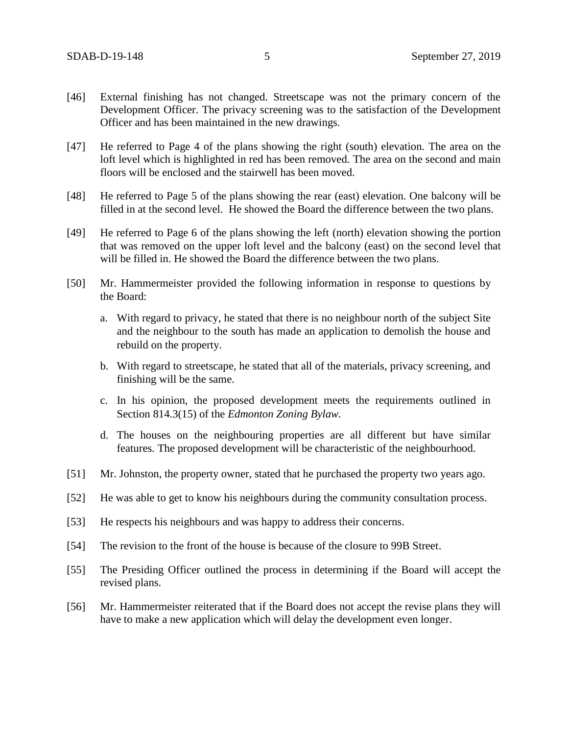- [46] External finishing has not changed. Streetscape was not the primary concern of the Development Officer. The privacy screening was to the satisfaction of the Development Officer and has been maintained in the new drawings.
- [47] He referred to Page 4 of the plans showing the right (south) elevation. The area on the loft level which is highlighted in red has been removed. The area on the second and main floors will be enclosed and the stairwell has been moved.
- [48] He referred to Page 5 of the plans showing the rear (east) elevation. One balcony will be filled in at the second level. He showed the Board the difference between the two plans.
- [49] He referred to Page 6 of the plans showing the left (north) elevation showing the portion that was removed on the upper loft level and the balcony (east) on the second level that will be filled in. He showed the Board the difference between the two plans.
- [50] Mr. Hammermeister provided the following information in response to questions by the Board:
	- a. With regard to privacy, he stated that there is no neighbour north of the subject Site and the neighbour to the south has made an application to demolish the house and rebuild on the property.
	- b. With regard to streetscape, he stated that all of the materials, privacy screening, and finishing will be the same.
	- c. In his opinion, the proposed development meets the requirements outlined in Section 814.3(15) of the *Edmonton Zoning Bylaw.*
	- d. The houses on the neighbouring properties are all different but have similar features. The proposed development will be characteristic of the neighbourhood.
- [51] Mr. Johnston, the property owner, stated that he purchased the property two years ago.
- [52] He was able to get to know his neighbours during the community consultation process.
- [53] He respects his neighbours and was happy to address their concerns.
- [54] The revision to the front of the house is because of the closure to 99B Street.
- [55] The Presiding Officer outlined the process in determining if the Board will accept the revised plans.
- [56] Mr. Hammermeister reiterated that if the Board does not accept the revise plans they will have to make a new application which will delay the development even longer.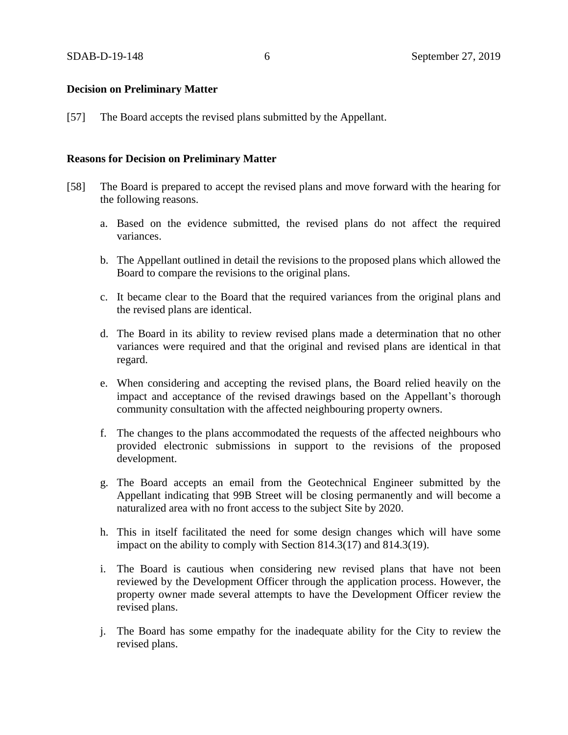## **Decision on Preliminary Matter**

[57] The Board accepts the revised plans submitted by the Appellant.

## **Reasons for Decision on Preliminary Matter**

- [58] The Board is prepared to accept the revised plans and move forward with the hearing for the following reasons.
	- a. Based on the evidence submitted, the revised plans do not affect the required variances.
	- b. The Appellant outlined in detail the revisions to the proposed plans which allowed the Board to compare the revisions to the original plans.
	- c. It became clear to the Board that the required variances from the original plans and the revised plans are identical.
	- d. The Board in its ability to review revised plans made a determination that no other variances were required and that the original and revised plans are identical in that regard.
	- e. When considering and accepting the revised plans, the Board relied heavily on the impact and acceptance of the revised drawings based on the Appellant's thorough community consultation with the affected neighbouring property owners.
	- f. The changes to the plans accommodated the requests of the affected neighbours who provided electronic submissions in support to the revisions of the proposed development.
	- g. The Board accepts an email from the Geotechnical Engineer submitted by the Appellant indicating that 99B Street will be closing permanently and will become a naturalized area with no front access to the subject Site by 2020.
	- h. This in itself facilitated the need for some design changes which will have some impact on the ability to comply with Section 814.3(17) and 814.3(19).
	- i. The Board is cautious when considering new revised plans that have not been reviewed by the Development Officer through the application process. However, the property owner made several attempts to have the Development Officer review the revised plans.
	- j. The Board has some empathy for the inadequate ability for the City to review the revised plans.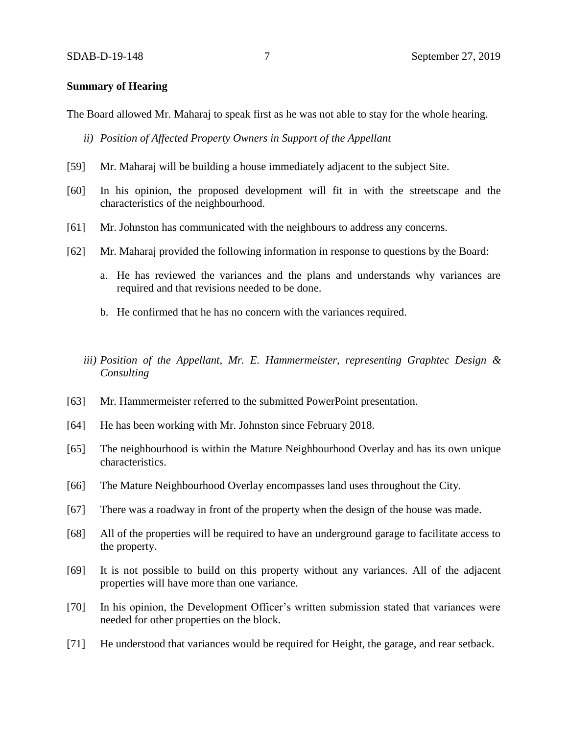### **Summary of Hearing**

The Board allowed Mr. Maharaj to speak first as he was not able to stay for the whole hearing.

- *ii) Position of Affected Property Owners in Support of the Appellant*
- [59] Mr. Maharaj will be building a house immediately adjacent to the subject Site.
- [60] In his opinion, the proposed development will fit in with the streetscape and the characteristics of the neighbourhood.
- [61] Mr. Johnston has communicated with the neighbours to address any concerns.
- [62] Mr. Maharaj provided the following information in response to questions by the Board:
	- a. He has reviewed the variances and the plans and understands why variances are required and that revisions needed to be done.
	- b. He confirmed that he has no concern with the variances required.
	- *iii) Position of the Appellant, Mr. E. Hammermeister, representing Graphtec Design & Consulting*
- [63] Mr. Hammermeister referred to the submitted PowerPoint presentation.
- [64] He has been working with Mr. Johnston since February 2018.
- [65] The neighbourhood is within the Mature Neighbourhood Overlay and has its own unique characteristics.
- [66] The Mature Neighbourhood Overlay encompasses land uses throughout the City.
- [67] There was a roadway in front of the property when the design of the house was made.
- [68] All of the properties will be required to have an underground garage to facilitate access to the property.
- [69] It is not possible to build on this property without any variances. All of the adjacent properties will have more than one variance.
- [70] In his opinion, the Development Officer's written submission stated that variances were needed for other properties on the block.
- [71] He understood that variances would be required for Height, the garage, and rear setback.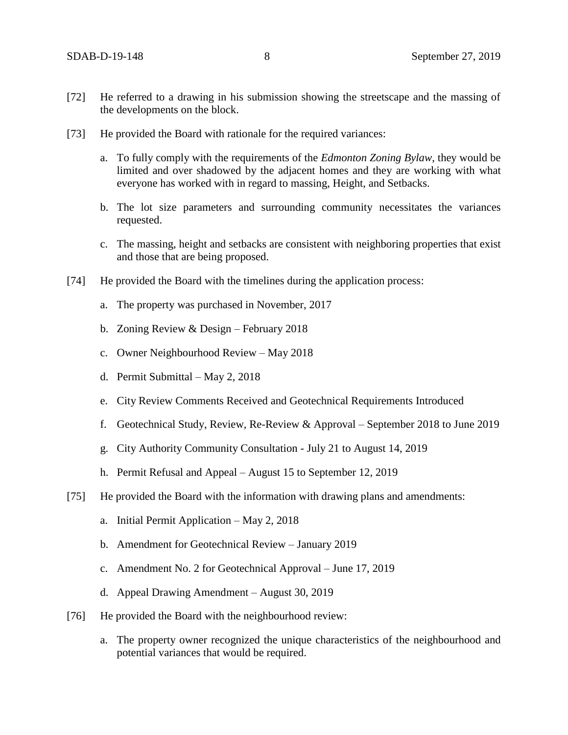- [72] He referred to a drawing in his submission showing the streetscape and the massing of the developments on the block.
- [73] He provided the Board with rationale for the required variances:
	- a. To fully comply with the requirements of the *Edmonton Zoning Bylaw*, they would be limited and over shadowed by the adjacent homes and they are working with what everyone has worked with in regard to massing, Height, and Setbacks.
	- b. The lot size parameters and surrounding community necessitates the variances requested.
	- c. The massing, height and setbacks are consistent with neighboring properties that exist and those that are being proposed.
- [74] He provided the Board with the timelines during the application process:
	- a. The property was purchased in November, 2017
	- b. Zoning Review & Design February 2018
	- c. Owner Neighbourhood Review May 2018
	- d. Permit Submittal May 2, 2018
	- e. City Review Comments Received and Geotechnical Requirements Introduced
	- f. Geotechnical Study, Review, Re-Review & Approval September 2018 to June 2019
	- g. City Authority Community Consultation July 21 to August 14, 2019
	- h. Permit Refusal and Appeal August 15 to September 12, 2019
- [75] He provided the Board with the information with drawing plans and amendments:
	- a. Initial Permit Application May 2, 2018
	- b. Amendment for Geotechnical Review January 2019
	- c. Amendment No. 2 for Geotechnical Approval June 17, 2019
	- d. Appeal Drawing Amendment August 30, 2019
- [76] He provided the Board with the neighbourhood review:
	- a. The property owner recognized the unique characteristics of the neighbourhood and potential variances that would be required.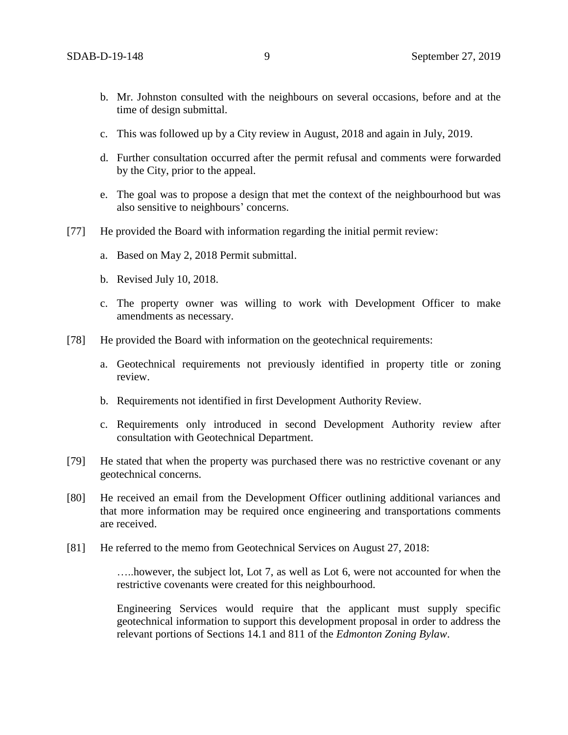- b. Mr. Johnston consulted with the neighbours on several occasions, before and at the time of design submittal.
- c. This was followed up by a City review in August, 2018 and again in July, 2019.
- d. Further consultation occurred after the permit refusal and comments were forwarded by the City, prior to the appeal.
- e. The goal was to propose a design that met the context of the neighbourhood but was also sensitive to neighbours' concerns.
- [77] He provided the Board with information regarding the initial permit review:
	- a. Based on May 2, 2018 Permit submittal.
	- b. Revised July 10, 2018.
	- c. The property owner was willing to work with Development Officer to make amendments as necessary.
- [78] He provided the Board with information on the geotechnical requirements:
	- a. Geotechnical requirements not previously identified in property title or zoning review.
	- b. Requirements not identified in first Development Authority Review.
	- c. Requirements only introduced in second Development Authority review after consultation with Geotechnical Department.
- [79] He stated that when the property was purchased there was no restrictive covenant or any geotechnical concerns.
- [80] He received an email from the Development Officer outlining additional variances and that more information may be required once engineering and transportations comments are received.
- [81] He referred to the memo from Geotechnical Services on August 27, 2018:

…..however, the subject lot, Lot 7, as well as Lot 6, were not accounted for when the restrictive covenants were created for this neighbourhood.

Engineering Services would require that the applicant must supply specific geotechnical information to support this development proposal in order to address the relevant portions of Sections 14.1 and 811 of the *Edmonton Zoning Bylaw*.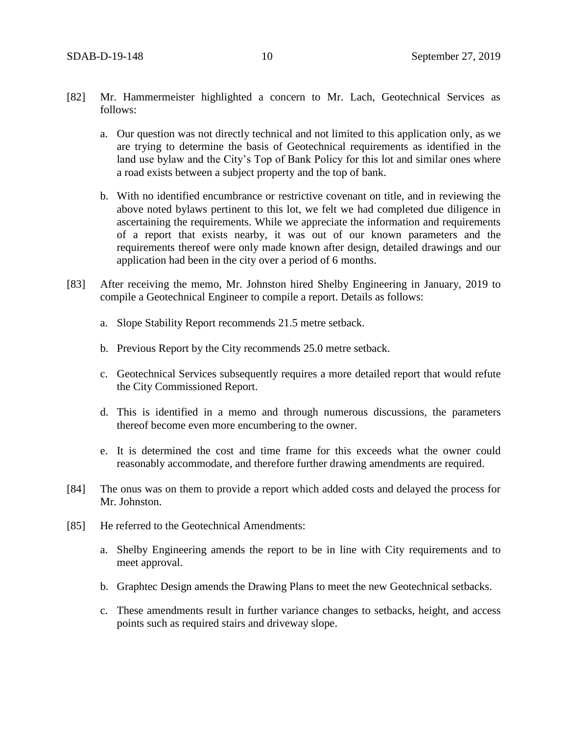- [82] Mr. Hammermeister highlighted a concern to Mr. Lach, Geotechnical Services as follows:
	- a. Our question was not directly technical and not limited to this application only, as we are trying to determine the basis of Geotechnical requirements as identified in the land use bylaw and the City's Top of Bank Policy for this lot and similar ones where a road exists between a subject property and the top of bank.
	- b. With no identified encumbrance or restrictive covenant on title, and in reviewing the above noted bylaws pertinent to this lot, we felt we had completed due diligence in ascertaining the requirements. While we appreciate the information and requirements of a report that exists nearby, it was out of our known parameters and the requirements thereof were only made known after design, detailed drawings and our application had been in the city over a period of 6 months.
- [83] After receiving the memo, Mr. Johnston hired Shelby Engineering in January, 2019 to compile a Geotechnical Engineer to compile a report. Details as follows:
	- a. Slope Stability Report recommends 21.5 metre setback.
	- b. Previous Report by the City recommends 25.0 metre setback.
	- c. Geotechnical Services subsequently requires a more detailed report that would refute the City Commissioned Report.
	- d. This is identified in a memo and through numerous discussions, the parameters thereof become even more encumbering to the owner.
	- e. It is determined the cost and time frame for this exceeds what the owner could reasonably accommodate, and therefore further drawing amendments are required.
- [84] The onus was on them to provide a report which added costs and delayed the process for Mr. Johnston.
- [85] He referred to the Geotechnical Amendments:
	- a. Shelby Engineering amends the report to be in line with City requirements and to meet approval.
	- b. Graphtec Design amends the Drawing Plans to meet the new Geotechnical setbacks.
	- c. These amendments result in further variance changes to setbacks, height, and access points such as required stairs and driveway slope.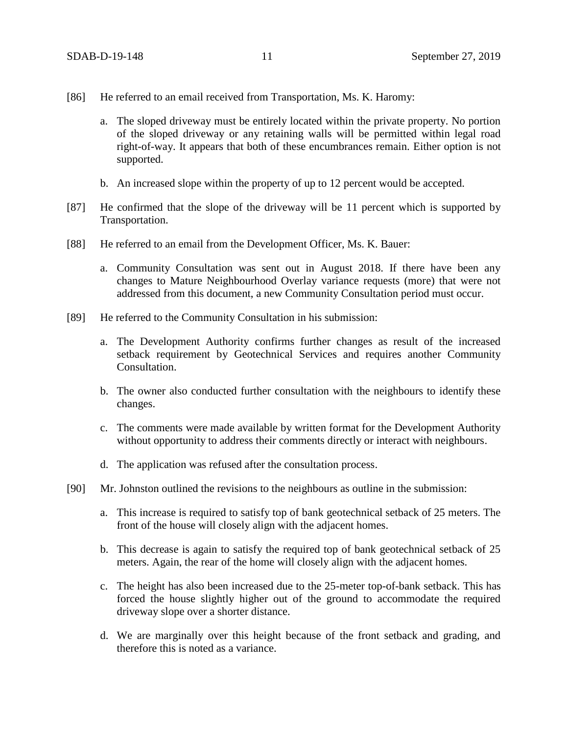- [86] He referred to an email received from Transportation, Ms. K. Haromy:
	- a. The sloped driveway must be entirely located within the private property. No portion of the sloped driveway or any retaining walls will be permitted within legal road right-of-way. It appears that both of these encumbrances remain. Either option is not supported.
	- b. An increased slope within the property of up to 12 percent would be accepted.
- [87] He confirmed that the slope of the driveway will be 11 percent which is supported by Transportation.
- [88] He referred to an email from the Development Officer, Ms. K. Bauer:
	- a. Community Consultation was sent out in August 2018. If there have been any changes to Mature Neighbourhood Overlay variance requests (more) that were not addressed from this document, a new Community Consultation period must occur.
- [89] He referred to the Community Consultation in his submission:
	- a. The Development Authority confirms further changes as result of the increased setback requirement by Geotechnical Services and requires another Community Consultation.
	- b. The owner also conducted further consultation with the neighbours to identify these changes.
	- c. The comments were made available by written format for the Development Authority without opportunity to address their comments directly or interact with neighbours.
	- d. The application was refused after the consultation process.
- [90] Mr. Johnston outlined the revisions to the neighbours as outline in the submission:
	- a. This increase is required to satisfy top of bank geotechnical setback of 25 meters. The front of the house will closely align with the adjacent homes.
	- b. This decrease is again to satisfy the required top of bank geotechnical setback of 25 meters. Again, the rear of the home will closely align with the adjacent homes.
	- c. The height has also been increased due to the 25-meter top-of-bank setback. This has forced the house slightly higher out of the ground to accommodate the required driveway slope over a shorter distance.
	- d. We are marginally over this height because of the front setback and grading, and therefore this is noted as a variance.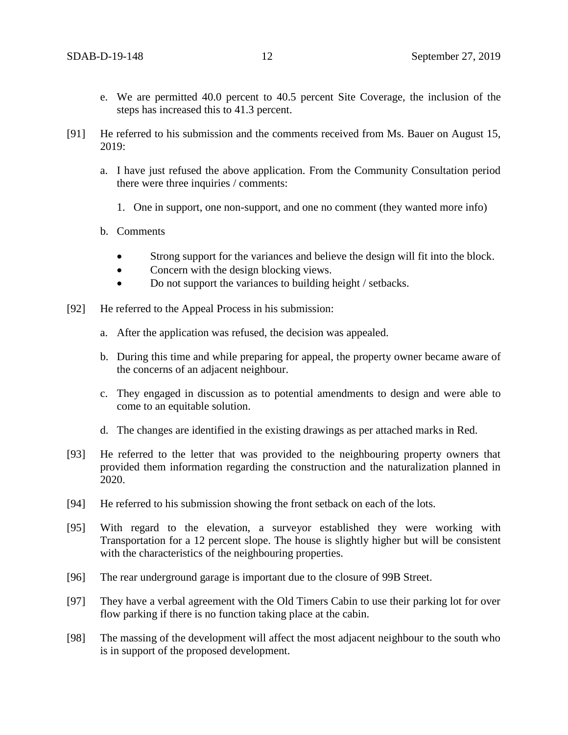- e. We are permitted 40.0 percent to 40.5 percent Site Coverage, the inclusion of the steps has increased this to 41.3 percent.
- [91] He referred to his submission and the comments received from Ms. Bauer on August 15, 2019:
	- a. I have just refused the above application. From the Community Consultation period there were three inquiries / comments:
		- 1. One in support, one non-support, and one no comment (they wanted more info)
	- b. Comments
		- Strong support for the variances and believe the design will fit into the block.
		- Concern with the design blocking views.
		- Do not support the variances to building height / setbacks.
- [92] He referred to the Appeal Process in his submission:
	- a. After the application was refused, the decision was appealed.
	- b. During this time and while preparing for appeal, the property owner became aware of the concerns of an adjacent neighbour.
	- c. They engaged in discussion as to potential amendments to design and were able to come to an equitable solution.
	- d. The changes are identified in the existing drawings as per attached marks in Red.
- [93] He referred to the letter that was provided to the neighbouring property owners that provided them information regarding the construction and the naturalization planned in 2020.
- [94] He referred to his submission showing the front setback on each of the lots.
- [95] With regard to the elevation, a surveyor established they were working with Transportation for a 12 percent slope. The house is slightly higher but will be consistent with the characteristics of the neighbouring properties.
- [96] The rear underground garage is important due to the closure of 99B Street.
- [97] They have a verbal agreement with the Old Timers Cabin to use their parking lot for over flow parking if there is no function taking place at the cabin.
- [98] The massing of the development will affect the most adjacent neighbour to the south who is in support of the proposed development.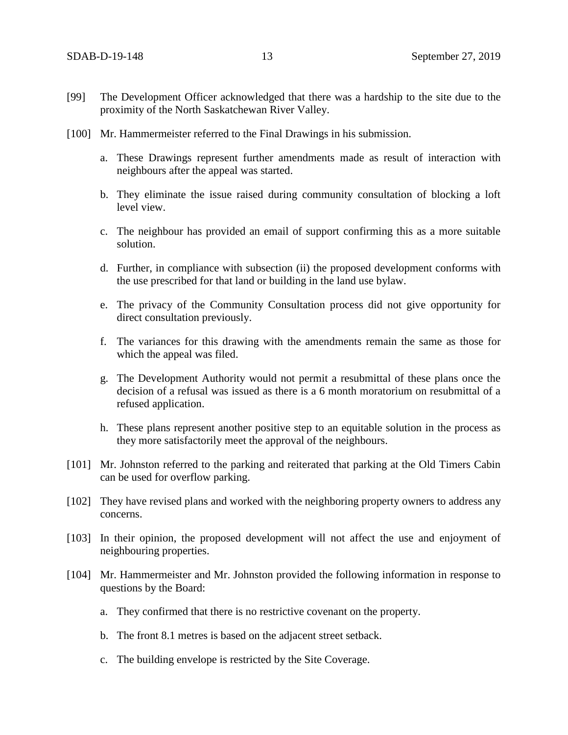- [99] The Development Officer acknowledged that there was a hardship to the site due to the proximity of the North Saskatchewan River Valley.
- [100] Mr. Hammermeister referred to the Final Drawings in his submission.
	- a. These Drawings represent further amendments made as result of interaction with neighbours after the appeal was started.
	- b. They eliminate the issue raised during community consultation of blocking a loft level view.
	- c. The neighbour has provided an email of support confirming this as a more suitable solution.
	- d. Further, in compliance with subsection (ii) the proposed development conforms with the use prescribed for that land or building in the land use bylaw.
	- e. The privacy of the Community Consultation process did not give opportunity for direct consultation previously.
	- f. The variances for this drawing with the amendments remain the same as those for which the appeal was filed.
	- g. The Development Authority would not permit a resubmittal of these plans once the decision of a refusal was issued as there is a 6 month moratorium on resubmittal of a refused application.
	- h. These plans represent another positive step to an equitable solution in the process as they more satisfactorily meet the approval of the neighbours.
- [101] Mr. Johnston referred to the parking and reiterated that parking at the Old Timers Cabin can be used for overflow parking.
- [102] They have revised plans and worked with the neighboring property owners to address any concerns.
- [103] In their opinion, the proposed development will not affect the use and enjoyment of neighbouring properties.
- [104] Mr. Hammermeister and Mr. Johnston provided the following information in response to questions by the Board:
	- a. They confirmed that there is no restrictive covenant on the property.
	- b. The front 8.1 metres is based on the adjacent street setback.
	- c. The building envelope is restricted by the Site Coverage.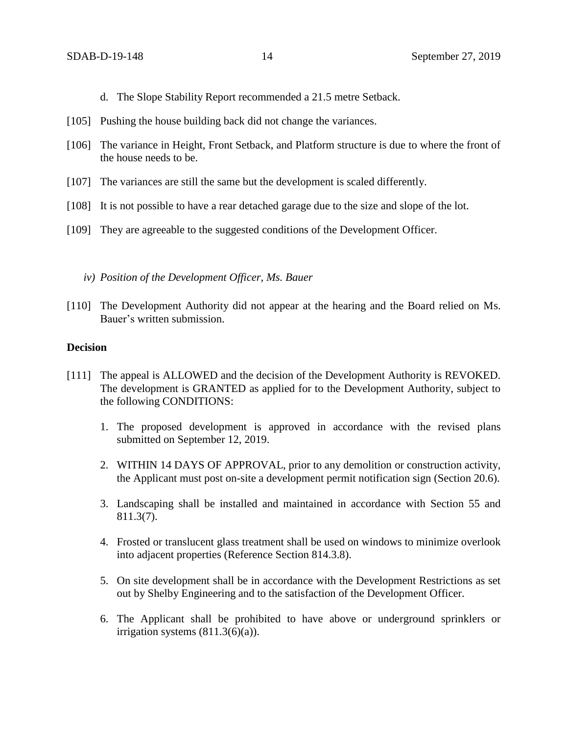- d. The Slope Stability Report recommended a 21.5 metre Setback.
- [105] Pushing the house building back did not change the variances.
- [106] The variance in Height, Front Setback, and Platform structure is due to where the front of the house needs to be.
- [107] The variances are still the same but the development is scaled differently.
- [108] It is not possible to have a rear detached garage due to the size and slope of the lot.
- [109] They are agreeable to the suggested conditions of the Development Officer.
	- *iv) Position of the Development Officer, Ms. Bauer*
- [110] The Development Authority did not appear at the hearing and the Board relied on Ms. Bauer's written submission.

## **Decision**

- [111] The appeal is ALLOWED and the decision of the Development Authority is REVOKED. The development is GRANTED as applied for to the Development Authority, subject to the following CONDITIONS:
	- 1. The proposed development is approved in accordance with the revised plans submitted on September 12, 2019.
	- 2. WITHIN 14 DAYS OF APPROVAL, prior to any demolition or construction activity, the Applicant must post on-site a development permit notification sign (Section 20.6).
	- 3. Landscaping shall be installed and maintained in accordance with Section 55 and 811.3(7).
	- 4. Frosted or translucent glass treatment shall be used on windows to minimize overlook into adjacent properties (Reference Section 814.3.8).
	- 5. On site development shall be in accordance with the Development Restrictions as set out by Shelby Engineering and to the satisfaction of the Development Officer.
	- 6. The Applicant shall be prohibited to have above or underground sprinklers or irrigation systems  $(811.3(6)(a))$ .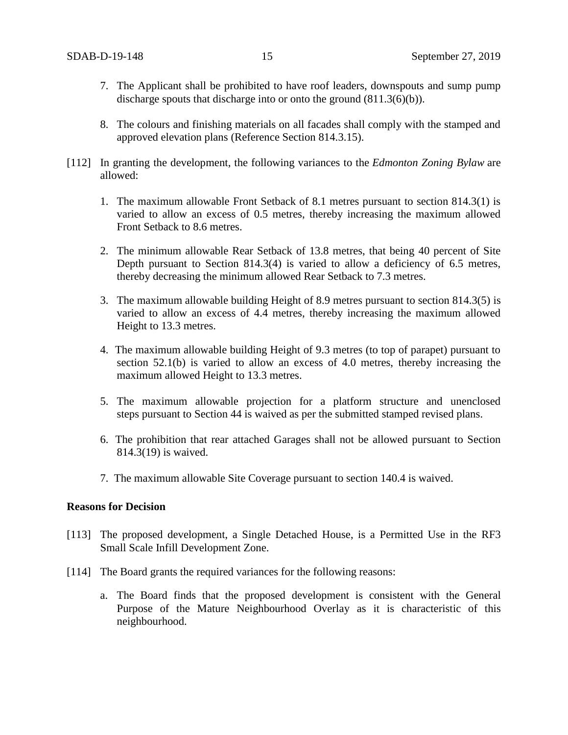- 7. The Applicant shall be prohibited to have roof leaders, downspouts and sump pump discharge spouts that discharge into or onto the ground  $(811.3(6)(b))$ .
- 8. The colours and finishing materials on all facades shall comply with the stamped and approved elevation plans (Reference Section 814.3.15).
- [112] In granting the development, the following variances to the *Edmonton Zoning Bylaw* are allowed:
	- 1. The maximum allowable Front Setback of 8.1 metres pursuant to section 814.3(1) is varied to allow an excess of 0.5 metres, thereby increasing the maximum allowed Front Setback to 8.6 metres.
	- 2. The minimum allowable Rear Setback of 13.8 metres, that being 40 percent of Site Depth pursuant to Section 814.3(4) is varied to allow a deficiency of 6.5 metres, thereby decreasing the minimum allowed Rear Setback to 7.3 metres.
	- 3. The maximum allowable building Height of 8.9 metres pursuant to section 814.3(5) is varied to allow an excess of 4.4 metres, thereby increasing the maximum allowed Height to 13.3 metres.
	- 4. The maximum allowable building Height of 9.3 metres (to top of parapet) pursuant to section 52.1(b) is varied to allow an excess of 4.0 metres, thereby increasing the maximum allowed Height to 13.3 metres.
	- 5. The maximum allowable projection for a platform structure and unenclosed steps pursuant to Section 44 is waived as per the submitted stamped revised plans.
	- 6. The prohibition that rear attached Garages shall not be allowed pursuant to Section 814.3(19) is waived.
	- 7. The maximum allowable Site Coverage pursuant to section 140.4 is waived.

## **Reasons for Decision**

- [113] The proposed development, a Single Detached House, is a Permitted Use in the RF3 Small Scale Infill Development Zone.
- [114] The Board grants the required variances for the following reasons:
	- a. The Board finds that the proposed development is consistent with the General Purpose of the Mature Neighbourhood Overlay as it is characteristic of this neighbourhood.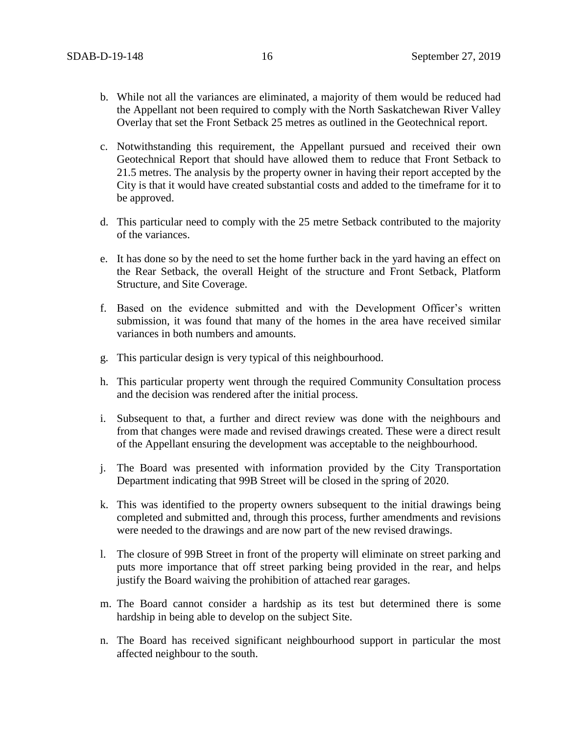- b. While not all the variances are eliminated, a majority of them would be reduced had the Appellant not been required to comply with the North Saskatchewan River Valley Overlay that set the Front Setback 25 metres as outlined in the Geotechnical report.
- c. Notwithstanding this requirement, the Appellant pursued and received their own Geotechnical Report that should have allowed them to reduce that Front Setback to 21.5 metres. The analysis by the property owner in having their report accepted by the City is that it would have created substantial costs and added to the timeframe for it to be approved.
- d. This particular need to comply with the 25 metre Setback contributed to the majority of the variances.
- e. It has done so by the need to set the home further back in the yard having an effect on the Rear Setback, the overall Height of the structure and Front Setback, Platform Structure, and Site Coverage.
- f. Based on the evidence submitted and with the Development Officer's written submission, it was found that many of the homes in the area have received similar variances in both numbers and amounts.
- g. This particular design is very typical of this neighbourhood.
- h. This particular property went through the required Community Consultation process and the decision was rendered after the initial process.
- i. Subsequent to that, a further and direct review was done with the neighbours and from that changes were made and revised drawings created. These were a direct result of the Appellant ensuring the development was acceptable to the neighbourhood.
- j. The Board was presented with information provided by the City Transportation Department indicating that 99B Street will be closed in the spring of 2020.
- k. This was identified to the property owners subsequent to the initial drawings being completed and submitted and, through this process, further amendments and revisions were needed to the drawings and are now part of the new revised drawings.
- l. The closure of 99B Street in front of the property will eliminate on street parking and puts more importance that off street parking being provided in the rear, and helps justify the Board waiving the prohibition of attached rear garages.
- m. The Board cannot consider a hardship as its test but determined there is some hardship in being able to develop on the subject Site.
- n. The Board has received significant neighbourhood support in particular the most affected neighbour to the south.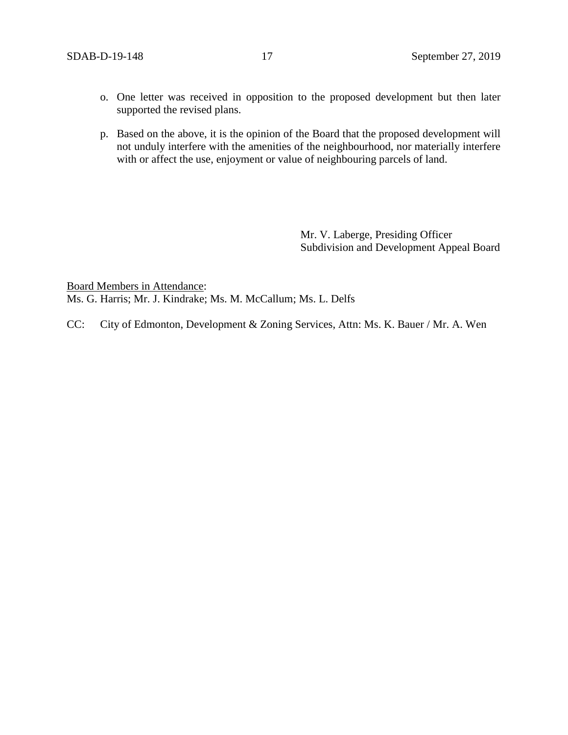- o. One letter was received in opposition to the proposed development but then later supported the revised plans.
- p. Based on the above, it is the opinion of the Board that the proposed development will not unduly interfere with the amenities of the neighbourhood, nor materially interfere with or affect the use, enjoyment or value of neighbouring parcels of land.

Mr. V. Laberge, Presiding Officer Subdivision and Development Appeal Board

Board Members in Attendance: Ms. G. Harris; Mr. J. Kindrake; Ms. M. McCallum; Ms. L. Delfs

CC: City of Edmonton, Development & Zoning Services, Attn: Ms. K. Bauer / Mr. A. Wen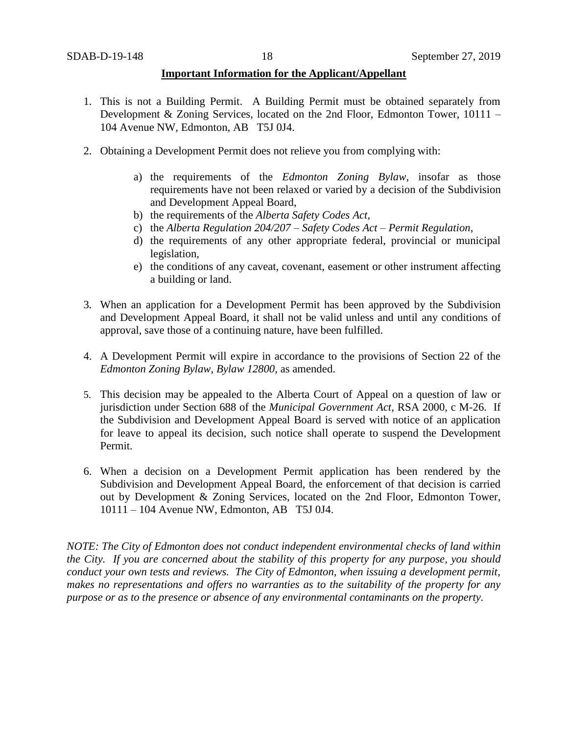### **Important Information for the Applicant/Appellant**

- 1. This is not a Building Permit. A Building Permit must be obtained separately from Development & Zoning Services, located on the 2nd Floor, Edmonton Tower, 10111 – 104 Avenue NW, Edmonton, AB T5J 0J4.
- 2. Obtaining a Development Permit does not relieve you from complying with:
	- a) the requirements of the *Edmonton Zoning Bylaw*, insofar as those requirements have not been relaxed or varied by a decision of the Subdivision and Development Appeal Board,
	- b) the requirements of the *Alberta Safety Codes Act*,
	- c) the *Alberta Regulation 204/207 – Safety Codes Act – Permit Regulation*,
	- d) the requirements of any other appropriate federal, provincial or municipal legislation,
	- e) the conditions of any caveat, covenant, easement or other instrument affecting a building or land.
- 3. When an application for a Development Permit has been approved by the Subdivision and Development Appeal Board, it shall not be valid unless and until any conditions of approval, save those of a continuing nature, have been fulfilled.
- 4. A Development Permit will expire in accordance to the provisions of Section 22 of the *Edmonton Zoning Bylaw, Bylaw 12800*, as amended.
- 5. This decision may be appealed to the Alberta Court of Appeal on a question of law or jurisdiction under Section 688 of the *Municipal Government Act*, RSA 2000, c M-26. If the Subdivision and Development Appeal Board is served with notice of an application for leave to appeal its decision, such notice shall operate to suspend the Development Permit.
- 6. When a decision on a Development Permit application has been rendered by the Subdivision and Development Appeal Board, the enforcement of that decision is carried out by Development & Zoning Services, located on the 2nd Floor, Edmonton Tower, 10111 – 104 Avenue NW, Edmonton, AB T5J 0J4.

*NOTE: The City of Edmonton does not conduct independent environmental checks of land within the City. If you are concerned about the stability of this property for any purpose, you should conduct your own tests and reviews. The City of Edmonton, when issuing a development permit, makes no representations and offers no warranties as to the suitability of the property for any purpose or as to the presence or absence of any environmental contaminants on the property.*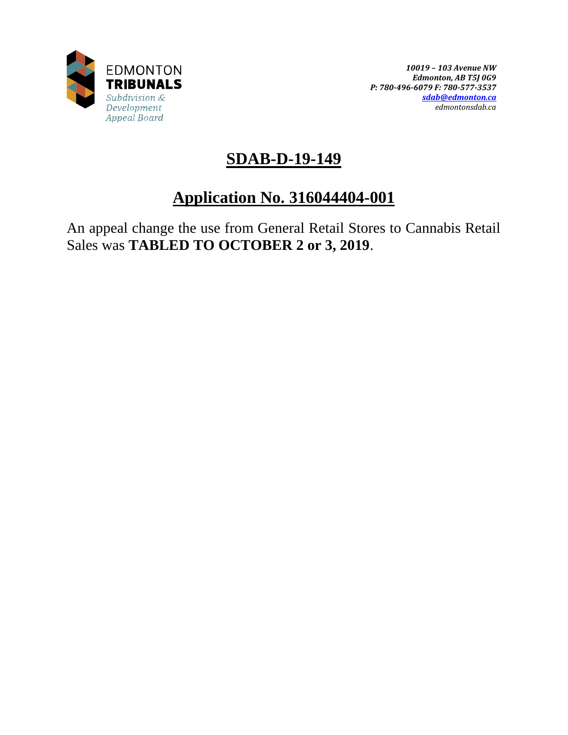

# **SDAB-D-19-149**

# **Application No. 316044404-001**

An appeal change the use from General Retail Stores to Cannabis Retail Sales was **TABLED TO OCTOBER 2 or 3, 2019**.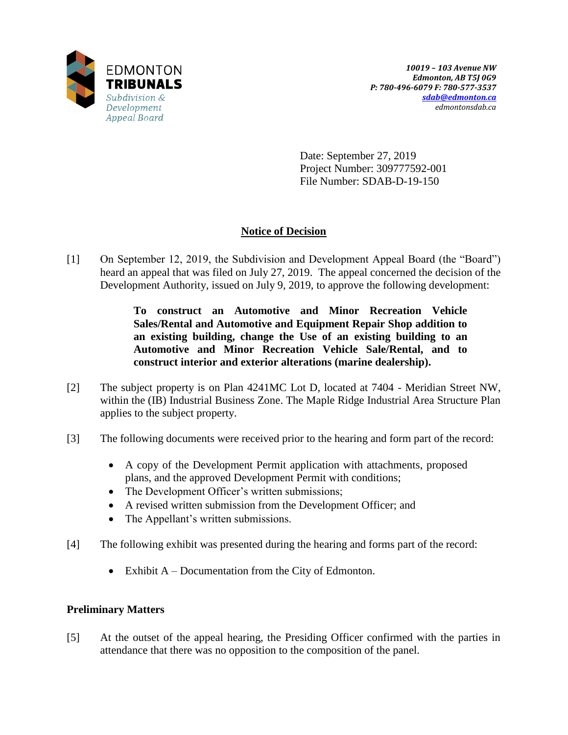

Date: September 27, 2019 Project Number: 309777592-001 File Number: SDAB-D-19-150

## **Notice of Decision**

[1] On September 12, 2019, the Subdivision and Development Appeal Board (the "Board") heard an appeal that was filed on July 27, 2019. The appeal concerned the decision of the Development Authority, issued on July 9, 2019, to approve the following development:

> **To construct an Automotive and Minor Recreation Vehicle Sales/Rental and Automotive and Equipment Repair Shop addition to an existing building, change the Use of an existing building to an Automotive and Minor Recreation Vehicle Sale/Rental, and to construct interior and exterior alterations (marine dealership).**

- [2] The subject property is on Plan 4241MC Lot D, located at 7404 Meridian Street NW, within the (IB) Industrial Business Zone. The Maple Ridge Industrial Area Structure Plan applies to the subject property.
- [3] The following documents were received prior to the hearing and form part of the record:
	- A copy of the Development Permit application with attachments, proposed plans, and the approved Development Permit with conditions;
	- The Development Officer's written submissions;
	- A revised written submission from the Development Officer; and
	- The Appellant's written submissions.
- [4] The following exhibit was presented during the hearing and forms part of the record:
	- Exhibit  $A Doc$  Exhibit  $A Doc$  Exhibit A

## **Preliminary Matters**

[5] At the outset of the appeal hearing, the Presiding Officer confirmed with the parties in attendance that there was no opposition to the composition of the panel.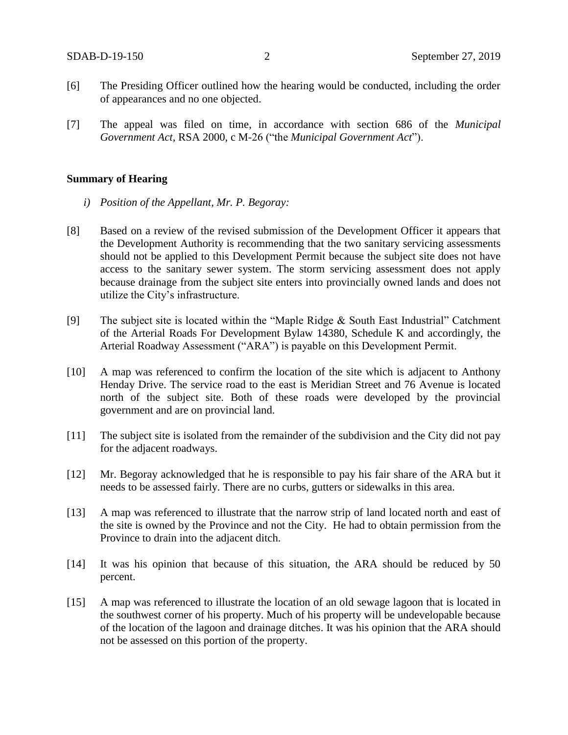- [6] The Presiding Officer outlined how the hearing would be conducted, including the order of appearances and no one objected.
- [7] The appeal was filed on time, in accordance with section 686 of the *Municipal Government Act*, RSA 2000, c M-26 ("the *Municipal Government Act*").

#### **Summary of Hearing**

- *i) Position of the Appellant, Mr. P. Begoray:*
- [8] Based on a review of the revised submission of the Development Officer it appears that the Development Authority is recommending that the two sanitary servicing assessments should not be applied to this Development Permit because the subject site does not have access to the sanitary sewer system. The storm servicing assessment does not apply because drainage from the subject site enters into provincially owned lands and does not utilize the City's infrastructure.
- [9] The subject site is located within the "Maple Ridge & South East Industrial" Catchment of the Arterial Roads For Development Bylaw 14380, Schedule K and accordingly, the Arterial Roadway Assessment ("ARA") is payable on this Development Permit.
- [10] A map was referenced to confirm the location of the site which is adjacent to Anthony Henday Drive. The service road to the east is Meridian Street and 76 Avenue is located north of the subject site. Both of these roads were developed by the provincial government and are on provincial land.
- [11] The subject site is isolated from the remainder of the subdivision and the City did not pay for the adjacent roadways.
- [12] Mr. Begoray acknowledged that he is responsible to pay his fair share of the ARA but it needs to be assessed fairly. There are no curbs, gutters or sidewalks in this area.
- [13] A map was referenced to illustrate that the narrow strip of land located north and east of the site is owned by the Province and not the City. He had to obtain permission from the Province to drain into the adjacent ditch.
- [14] It was his opinion that because of this situation, the ARA should be reduced by 50 percent.
- [15] A map was referenced to illustrate the location of an old sewage lagoon that is located in the southwest corner of his property. Much of his property will be undevelopable because of the location of the lagoon and drainage ditches. It was his opinion that the ARA should not be assessed on this portion of the property.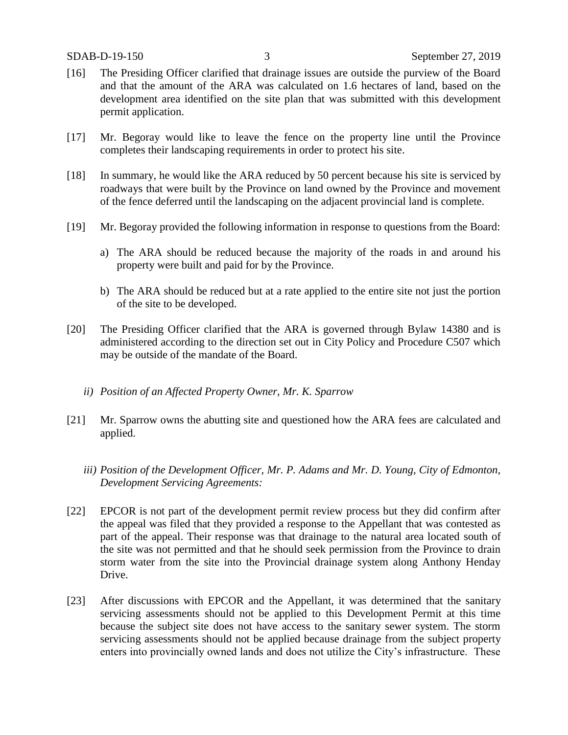- [16] The Presiding Officer clarified that drainage issues are outside the purview of the Board and that the amount of the ARA was calculated on 1.6 hectares of land, based on the development area identified on the site plan that was submitted with this development permit application.
- [17] Mr. Begoray would like to leave the fence on the property line until the Province completes their landscaping requirements in order to protect his site.
- [18] In summary, he would like the ARA reduced by 50 percent because his site is serviced by roadways that were built by the Province on land owned by the Province and movement of the fence deferred until the landscaping on the adjacent provincial land is complete.
- [19] Mr. Begoray provided the following information in response to questions from the Board:
	- a) The ARA should be reduced because the majority of the roads in and around his property were built and paid for by the Province.
	- b) The ARA should be reduced but at a rate applied to the entire site not just the portion of the site to be developed.
- [20] The Presiding Officer clarified that the ARA is governed through Bylaw 14380 and is administered according to the direction set out in City Policy and Procedure C507 which may be outside of the mandate of the Board.
	- *ii) Position of an Affected Property Owner, Mr. K. Sparrow*
- [21] Mr. Sparrow owns the abutting site and questioned how the ARA fees are calculated and applied.
	- *iii) Position of the Development Officer, Mr. P. Adams and Mr. D. Young, City of Edmonton, Development Servicing Agreements:*
- [22] EPCOR is not part of the development permit review process but they did confirm after the appeal was filed that they provided a response to the Appellant that was contested as part of the appeal. Their response was that drainage to the natural area located south of the site was not permitted and that he should seek permission from the Province to drain storm water from the site into the Provincial drainage system along Anthony Henday Drive.
- [23] After discussions with EPCOR and the Appellant, it was determined that the sanitary servicing assessments should not be applied to this Development Permit at this time because the subject site does not have access to the sanitary sewer system. The storm servicing assessments should not be applied because drainage from the subject property enters into provincially owned lands and does not utilize the City's infrastructure. These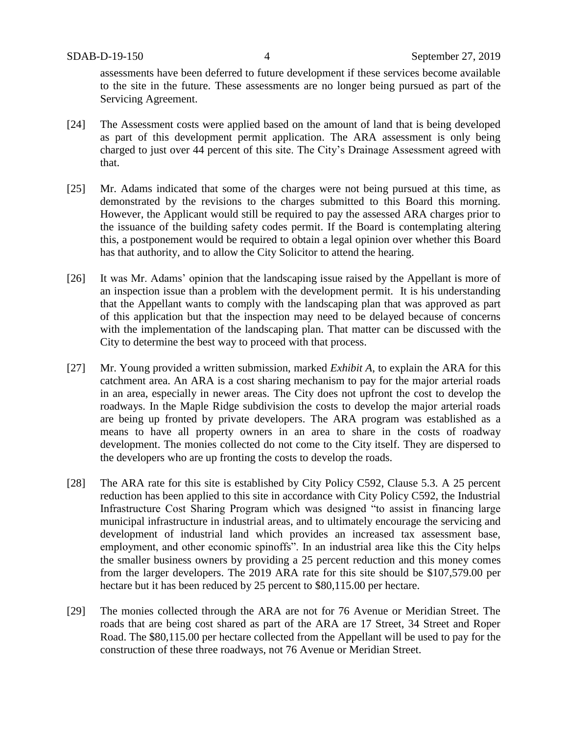assessments have been deferred to future development if these services become available to the site in the future. These assessments are no longer being pursued as part of the Servicing Agreement.

- [24] The Assessment costs were applied based on the amount of land that is being developed as part of this development permit application. The ARA assessment is only being charged to just over 44 percent of this site. The City's Drainage Assessment agreed with that.
- [25] Mr. Adams indicated that some of the charges were not being pursued at this time, as demonstrated by the revisions to the charges submitted to this Board this morning. However, the Applicant would still be required to pay the assessed ARA charges prior to the issuance of the building safety codes permit. If the Board is contemplating altering this, a postponement would be required to obtain a legal opinion over whether this Board has that authority, and to allow the City Solicitor to attend the hearing.
- [26] It was Mr. Adams' opinion that the landscaping issue raised by the Appellant is more of an inspection issue than a problem with the development permit. It is his understanding that the Appellant wants to comply with the landscaping plan that was approved as part of this application but that the inspection may need to be delayed because of concerns with the implementation of the landscaping plan. That matter can be discussed with the City to determine the best way to proceed with that process.
- [27] Mr. Young provided a written submission, marked *Exhibit A*, to explain the ARA for this catchment area. An ARA is a cost sharing mechanism to pay for the major arterial roads in an area, especially in newer areas. The City does not upfront the cost to develop the roadways. In the Maple Ridge subdivision the costs to develop the major arterial roads are being up fronted by private developers. The ARA program was established as a means to have all property owners in an area to share in the costs of roadway development. The monies collected do not come to the City itself. They are dispersed to the developers who are up fronting the costs to develop the roads.
- [28] The ARA rate for this site is established by City Policy C592, Clause 5.3. A 25 percent reduction has been applied to this site in accordance with City Policy C592, the Industrial Infrastructure Cost Sharing Program which was designed "to assist in financing large municipal infrastructure in industrial areas, and to ultimately encourage the servicing and development of industrial land which provides an increased tax assessment base, employment, and other economic spinoffs". In an industrial area like this the City helps the smaller business owners by providing a 25 percent reduction and this money comes from the larger developers. The 2019 ARA rate for this site should be \$107,579.00 per hectare but it has been reduced by 25 percent to \$80,115.00 per hectare.
- [29] The monies collected through the ARA are not for 76 Avenue or Meridian Street. The roads that are being cost shared as part of the ARA are 17 Street, 34 Street and Roper Road. The \$80,115.00 per hectare collected from the Appellant will be used to pay for the construction of these three roadways, not 76 Avenue or Meridian Street.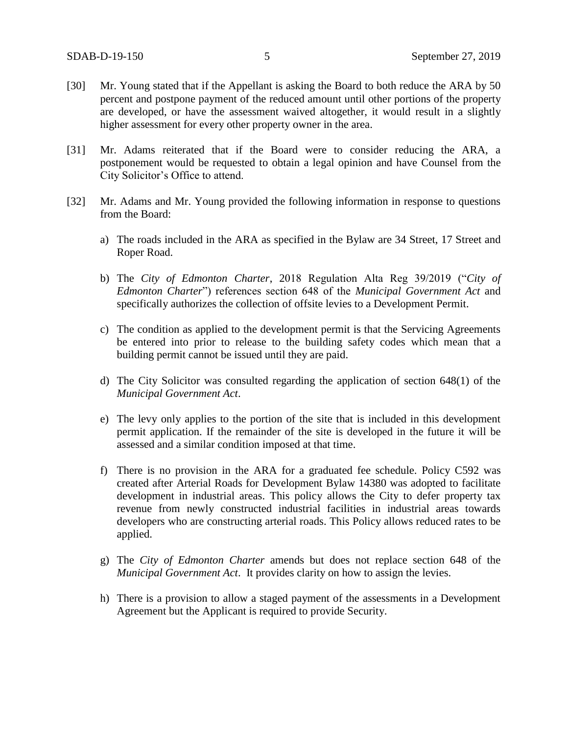- [30] Mr. Young stated that if the Appellant is asking the Board to both reduce the ARA by 50 percent and postpone payment of the reduced amount until other portions of the property are developed, or have the assessment waived altogether, it would result in a slightly higher assessment for every other property owner in the area.
- [31] Mr. Adams reiterated that if the Board were to consider reducing the ARA, a postponement would be requested to obtain a legal opinion and have Counsel from the City Solicitor's Office to attend.
- [32] Mr. Adams and Mr. Young provided the following information in response to questions from the Board:
	- a) The roads included in the ARA as specified in the Bylaw are 34 Street, 17 Street and Roper Road.
	- b) The *City of Edmonton Charter*, 2018 Regulation Alta Reg 39/2019 ("*City of Edmonton Charter*") references section 648 of the *Municipal Government Act* and specifically authorizes the collection of offsite levies to a Development Permit.
	- c) The condition as applied to the development permit is that the Servicing Agreements be entered into prior to release to the building safety codes which mean that a building permit cannot be issued until they are paid.
	- d) The City Solicitor was consulted regarding the application of section 648(1) of the *Municipal Government Act*.
	- e) The levy only applies to the portion of the site that is included in this development permit application. If the remainder of the site is developed in the future it will be assessed and a similar condition imposed at that time.
	- f) There is no provision in the ARA for a graduated fee schedule. Policy C592 was created after Arterial Roads for Development Bylaw 14380 was adopted to facilitate development in industrial areas. This policy allows the City to defer property tax revenue from newly constructed industrial facilities in industrial areas towards developers who are constructing arterial roads. This Policy allows reduced rates to be applied.
	- g) The *City of Edmonton Charter* amends but does not replace section 648 of the *Municipal Government Act*. It provides clarity on how to assign the levies.
	- h) There is a provision to allow a staged payment of the assessments in a Development Agreement but the Applicant is required to provide Security.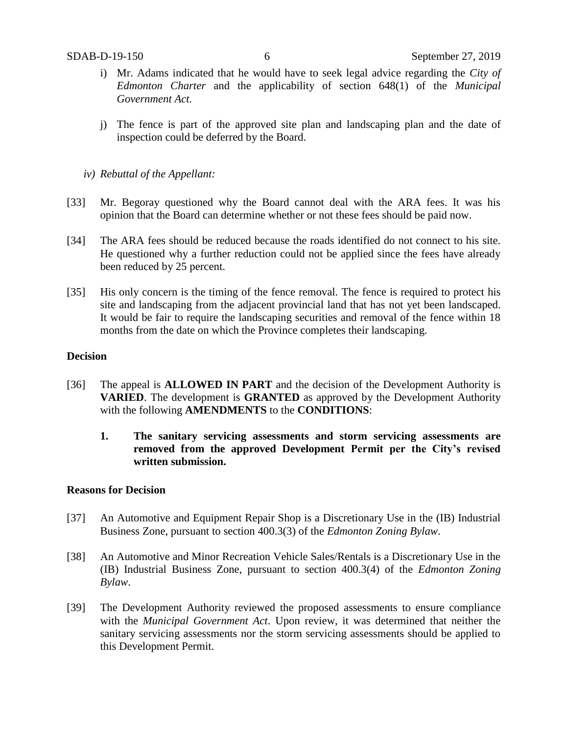- i) Mr. Adams indicated that he would have to seek legal advice regarding the *City of Edmonton Charter* and the applicability of section 648(1) of the *Municipal Government Act.*
- j) The fence is part of the approved site plan and landscaping plan and the date of inspection could be deferred by the Board.
- *iv) Rebuttal of the Appellant:*
- [33] Mr. Begoray questioned why the Board cannot deal with the ARA fees. It was his opinion that the Board can determine whether or not these fees should be paid now.
- [34] The ARA fees should be reduced because the roads identified do not connect to his site. He questioned why a further reduction could not be applied since the fees have already been reduced by 25 percent.
- [35] His only concern is the timing of the fence removal. The fence is required to protect his site and landscaping from the adjacent provincial land that has not yet been landscaped. It would be fair to require the landscaping securities and removal of the fence within 18 months from the date on which the Province completes their landscaping.

#### **Decision**

- [36] The appeal is **ALLOWED IN PART** and the decision of the Development Authority is **VARIED**. The development is **GRANTED** as approved by the Development Authority with the following **AMENDMENTS** to the **CONDITIONS**:
	- **1. The sanitary servicing assessments and storm servicing assessments are removed from the approved Development Permit per the City's revised written submission.**

## **Reasons for Decision**

- [37] An Automotive and Equipment Repair Shop is a Discretionary Use in the (IB) Industrial Business Zone, pursuant to section 400.3(3) of the *Edmonton Zoning Bylaw*.
- [38] An Automotive and Minor Recreation Vehicle Sales/Rentals is a Discretionary Use in the (IB) Industrial Business Zone, pursuant to section 400.3(4) of the *Edmonton Zoning Bylaw*.
- [39] The Development Authority reviewed the proposed assessments to ensure compliance with the *Municipal Government Act*. Upon review, it was determined that neither the sanitary servicing assessments nor the storm servicing assessments should be applied to this Development Permit.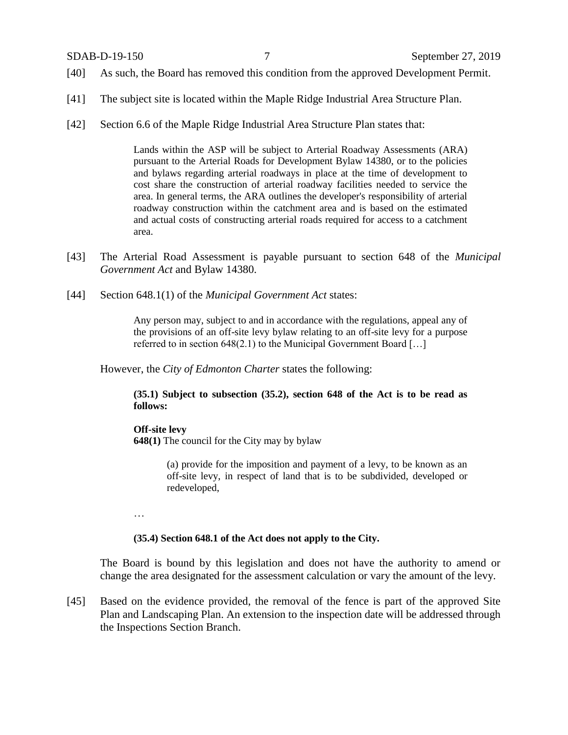- [40] As such, the Board has removed this condition from the approved Development Permit.
- [41] The subject site is located within the Maple Ridge Industrial Area Structure Plan.
- [42] Section 6.6 of the Maple Ridge Industrial Area Structure Plan states that:

Lands within the ASP will be subject to Arterial Roadway Assessments (ARA) pursuant to the Arterial Roads for Development Bylaw 14380, or to the policies and bylaws regarding arterial roadways in place at the time of development to cost share the construction of arterial roadway facilities needed to service the area. In general terms, the ARA outlines the developer's responsibility of arterial roadway construction within the catchment area and is based on the estimated and actual costs of constructing arterial roads required for access to a catchment area.

- [43] The Arterial Road Assessment is payable pursuant to section 648 of the *Municipal Government Act* and Bylaw 14380.
- [44] Section 648.1(1) of the *Municipal Government Act* states:

Any person may, subject to and in accordance with the regulations, appeal any of the provisions of an off-site levy bylaw relating to an off-site levy for a purpose referred to in section 648(2.1) to the Municipal Government Board […]

However, the *City of Edmonton Charter* states the following:

**(35.1) Subject to subsection (35.2), section 648 of the Act is to be read as follows:**

### **Off-site levy**

**648(1)** The council for the City may by bylaw

(a) provide for the imposition and payment of a levy, to be known as an off-site levy, in respect of land that is to be subdivided, developed or redeveloped,

…

### **(35.4) Section 648.1 of the Act does not apply to the City.**

The Board is bound by this legislation and does not have the authority to amend or change the area designated for the assessment calculation or vary the amount of the levy.

[45] Based on the evidence provided, the removal of the fence is part of the approved Site Plan and Landscaping Plan. An extension to the inspection date will be addressed through the Inspections Section Branch.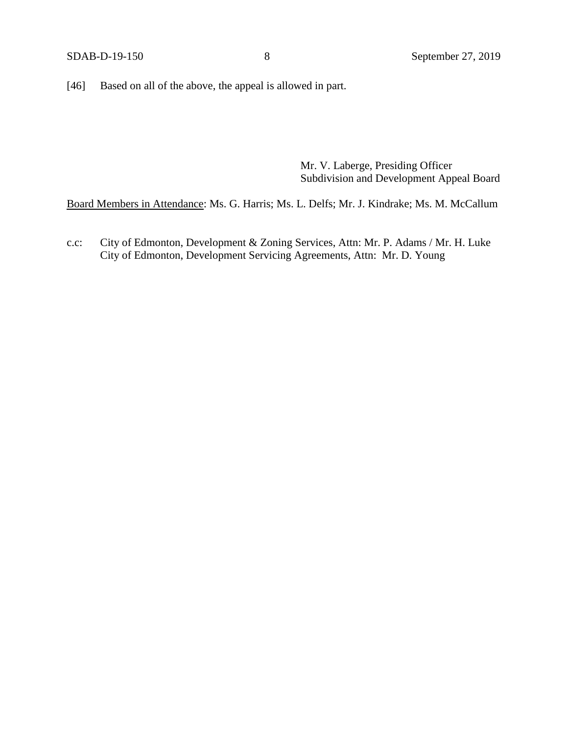[46] Based on all of the above, the appeal is allowed in part.

Mr. V. Laberge, Presiding Officer Subdivision and Development Appeal Board

Board Members in Attendance: Ms. G. Harris; Ms. L. Delfs; Mr. J. Kindrake; Ms. M. McCallum

c.c: City of Edmonton, Development & Zoning Services, Attn: Mr. P. Adams / Mr. H. Luke City of Edmonton, Development Servicing Agreements, Attn: Mr. D. Young